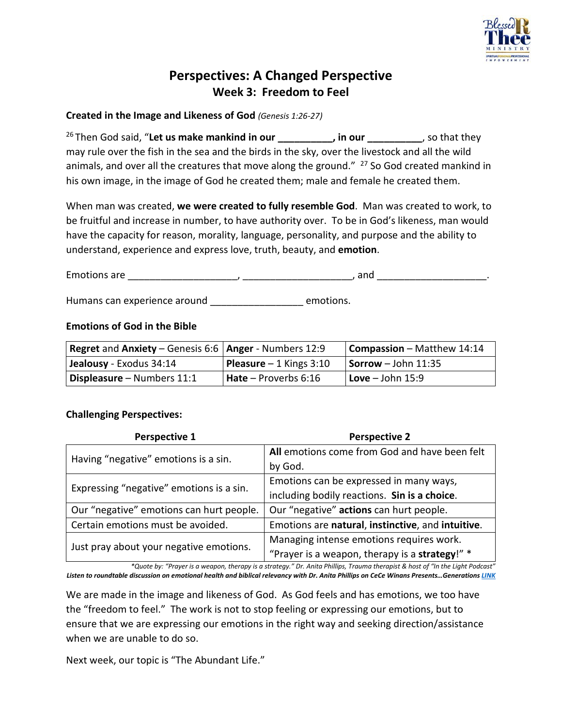

# **Perspectives: A Changed Perspective Week 3: Freedom to Feel**

#### **Created in the Image and Likeness of God** *(Genesis 1:26-27)*

<sup>26</sup> Then God said, "Let us make mankind in our **the same in the same in the same in the same in the same in the s** may rule over the fish in the sea and the birds in the sky, over the livestock and all the wild animals, and over all the creatures that move along the ground."  $27$  So God created mankind in his own image, in the image of God he created them; male and female he created them.

When man was created, **we were created to fully resemble God**. Man was created to work, to be fruitful and increase in number, to have authority over. To be in God's likeness, man would have the capacity for reason, morality, language, personality, and purpose and the ability to understand, experience and express love, truth, beauty, and **emotion**.

Emotions are \_\_\_\_\_\_\_\_\_\_\_\_\_\_\_\_\_\_\_\_, \_\_\_\_\_\_\_\_\_\_\_\_\_\_\_\_\_\_\_\_, and \_\_\_\_\_\_\_\_\_\_\_\_\_\_\_\_\_\_\_\_.

Humans can experience around \_\_\_\_\_\_\_\_\_\_\_\_\_\_\_\_\_\_\_\_ emotions.

#### **Emotions of God in the Bible**

| <b>Regret and Anxiety – Genesis 6:6   Anger - Numbers 12:9</b> |                                 | <b>Compassion</b> – Matthew $14:14$         |
|----------------------------------------------------------------|---------------------------------|---------------------------------------------|
| Jealousy - Exodus 34:14                                        | <b>Pleasure</b> $-1$ Kings 3:10 | $\sqrt{\text{Sorrow}} - \text{John } 11:35$ |
| Displeasure - Numbers 11:1                                     | $Hate - Proverbs 6:16$          | $\vert$ Love – John 15:9                    |

### **Challenging Perspectives:**

| Perspective 1                            | <b>Perspective 2</b>                              |  |
|------------------------------------------|---------------------------------------------------|--|
| Having "negative" emotions is a sin.     | All emotions come from God and have been felt     |  |
|                                          | by God.                                           |  |
| Expressing "negative" emotions is a sin. | Emotions can be expressed in many ways,           |  |
|                                          | including bodily reactions. Sin is a choice.      |  |
| Our "negative" emotions can hurt people. | Our "negative" actions can hurt people.           |  |
| Certain emotions must be avoided.        | Emotions are natural, instinctive, and intuitive. |  |
|                                          | Managing intense emotions requires work.          |  |
| Just pray about your negative emotions.  | "Prayer is a weapon, therapy is a strategy!" *    |  |
|                                          |                                                   |  |

*\*Quote by: "Prayer is a weapon, therapy is a strategy." Dr. Anita Phillips, Trauma therapist & host of "In the Light Podcast" Listen to roundtable discussion on emotional health and biblical relevancy with Dr. Anita Phillips on CeCe Winans Presents…Generations [LINK](https://www.youtube.com/watch?v=NRT_f6ZlqS4)*

We are made in the image and likeness of God. As God feels and has emotions, we too have the "freedom to feel." The work is not to stop feeling or expressing our emotions, but to ensure that we are expressing our emotions in the right way and seeking direction/assistance when we are unable to do so.

Next week, our topic is "The Abundant Life."